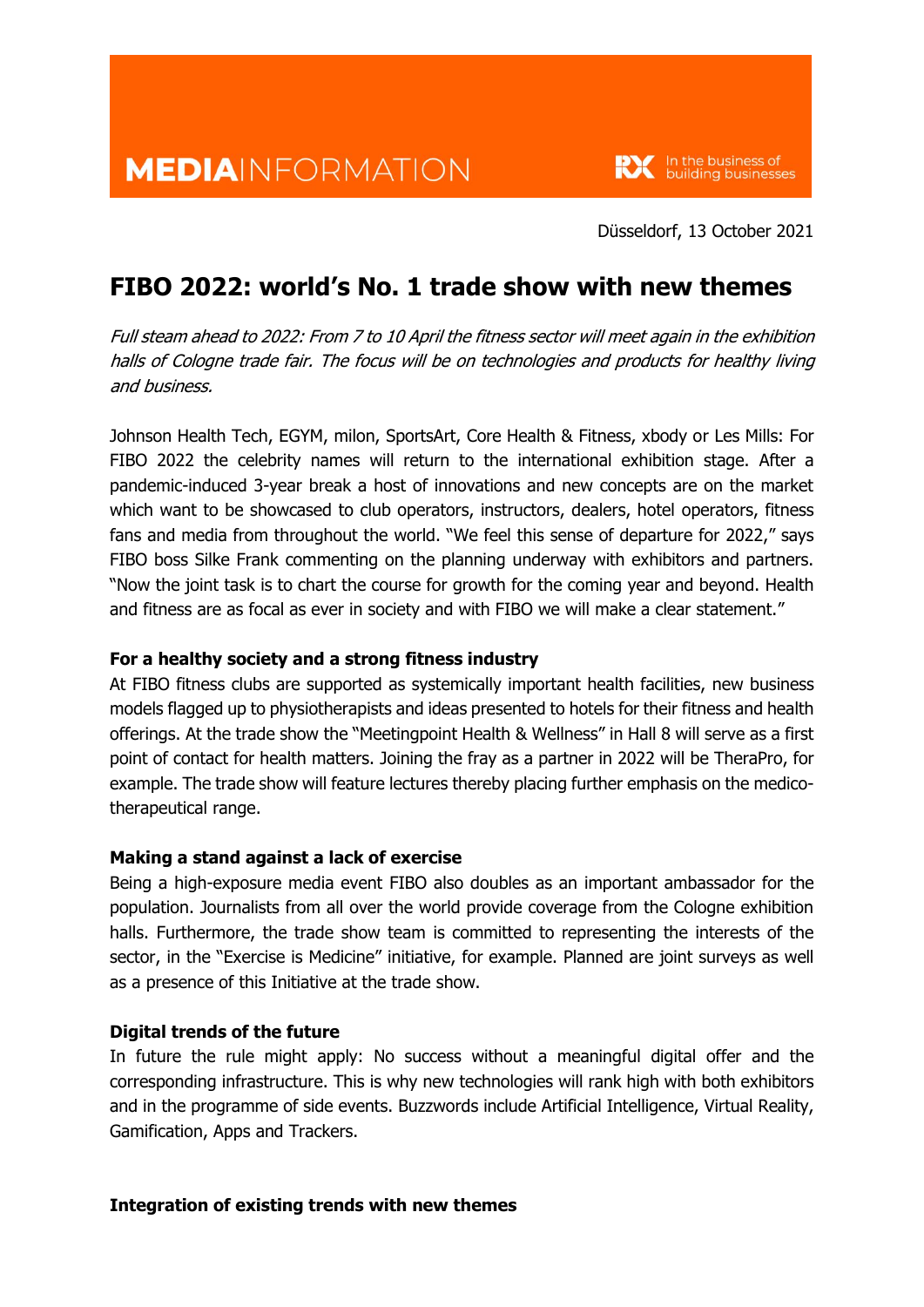

Düsseldorf, 13 October 2021

# **FIBO 2022: world's No. 1 trade show with new themes**

Full steam ahead to 2022: From 7 to 10 April the fitness sector will meet again in the exhibition halls of Cologne trade fair. The focus will be on technologies and products for healthy living and business.

Johnson Health Tech, EGYM, milon, SportsArt, Core Health & Fitness, xbody or Les Mills: For FIBO 2022 the celebrity names will return to the international exhibition stage. After a pandemic-induced 3-year break a host of innovations and new concepts are on the market which want to be showcased to club operators, instructors, dealers, hotel operators, fitness fans and media from throughout the world. "We feel this sense of departure for 2022," says FIBO boss Silke Frank commenting on the planning underway with exhibitors and partners. "Now the joint task is to chart the course for growth for the coming year and beyond. Health and fitness are as focal as ever in society and with FIBO we will make a clear statement."

## **For a healthy society and a strong fitness industry**

At FIBO fitness clubs are supported as systemically important health facilities, new business models flagged up to physiotherapists and ideas presented to hotels for their fitness and health offerings. At the trade show the "Meetingpoint Health & Wellness" in Hall 8 will serve as a first point of contact for health matters. Joining the fray as a partner in 2022 will be TheraPro, for example. The trade show will feature lectures thereby placing further emphasis on the medicotherapeutical range.

## **Making a stand against a lack of exercise**

Being a high-exposure media event FIBO also doubles as an important ambassador for the population. Journalists from all over the world provide coverage from the Cologne exhibition halls. Furthermore, the trade show team is committed to representing the interests of the sector, in the "Exercise is Medicine" initiative, for example. Planned are joint surveys as well as a presence of this Initiative at the trade show.

## **Digital trends of the future**

In future the rule might apply: No success without a meaningful digital offer and the corresponding infrastructure. This is why new technologies will rank high with both exhibitors and in the programme of side events. Buzzwords include Artificial Intelligence, Virtual Reality, Gamification, Apps and Trackers.

#### **Integration of existing trends with new themes**